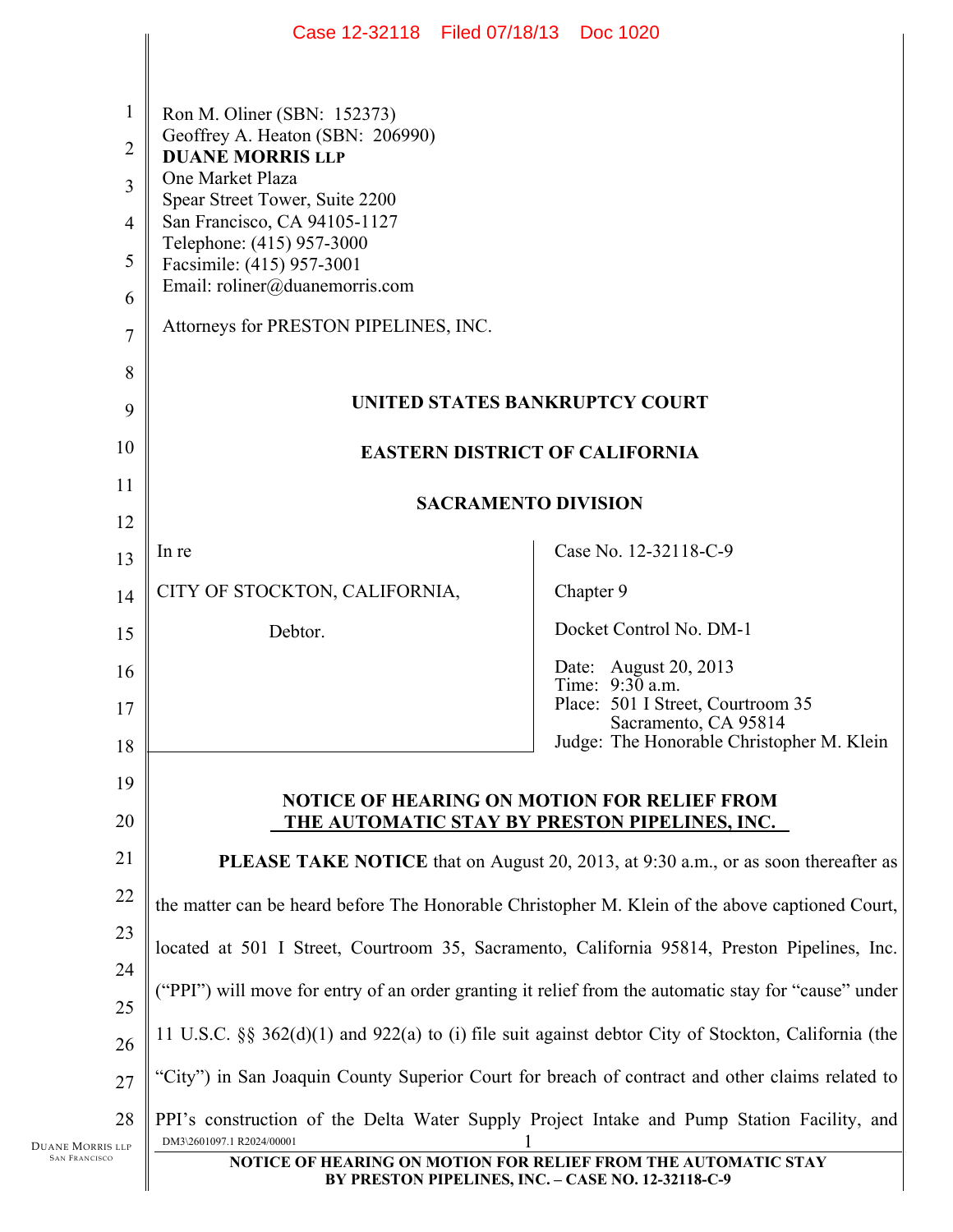|                                                                                                                                                                  | Case 12-32118 Filed 07/18/13 Doc 1020                                                                                   |                                                           |  |  |
|------------------------------------------------------------------------------------------------------------------------------------------------------------------|-------------------------------------------------------------------------------------------------------------------------|-----------------------------------------------------------|--|--|
|                                                                                                                                                                  |                                                                                                                         |                                                           |  |  |
| $\mathbf{1}$                                                                                                                                                     | Ron M. Oliner (SBN: 152373)                                                                                             |                                                           |  |  |
| $\overline{2}$                                                                                                                                                   | Geoffrey A. Heaton (SBN: 206990)<br><b>DUANE MORRIS LLP</b>                                                             |                                                           |  |  |
| 3                                                                                                                                                                | One Market Plaza                                                                                                        |                                                           |  |  |
| $\overline{4}$                                                                                                                                                   | Spear Street Tower, Suite 2200<br>San Francisco, CA 94105-1127                                                          |                                                           |  |  |
| 5                                                                                                                                                                | Telephone: (415) 957-3000<br>Facsimile: (415) 957-3001                                                                  |                                                           |  |  |
| 6                                                                                                                                                                | Email: roliner@duanemorris.com                                                                                          |                                                           |  |  |
| $\overline{7}$                                                                                                                                                   | Attorneys for PRESTON PIPELINES, INC.                                                                                   |                                                           |  |  |
| 8                                                                                                                                                                |                                                                                                                         |                                                           |  |  |
| 9                                                                                                                                                                | UNITED STATES BANKRUPTCY COURT                                                                                          |                                                           |  |  |
| 10                                                                                                                                                               | <b>EASTERN DISTRICT OF CALIFORNIA</b>                                                                                   |                                                           |  |  |
| 11                                                                                                                                                               |                                                                                                                         |                                                           |  |  |
| 12                                                                                                                                                               | <b>SACRAMENTO DIVISION</b>                                                                                              |                                                           |  |  |
| 13                                                                                                                                                               | In re                                                                                                                   | Case No. 12-32118-C-9                                     |  |  |
| 14                                                                                                                                                               | CITY OF STOCKTON, CALIFORNIA,                                                                                           | Chapter 9                                                 |  |  |
| 15                                                                                                                                                               | Debtor.                                                                                                                 | Docket Control No. DM-1                                   |  |  |
| 16                                                                                                                                                               |                                                                                                                         | Date: August 20, 2013<br>Time: $9:30$ a.m.                |  |  |
| 17                                                                                                                                                               |                                                                                                                         | Place: 501 I Street, Courtroom 35<br>Sacramento, CA 95814 |  |  |
| 18                                                                                                                                                               |                                                                                                                         | Judge: The Honorable Christopher M. Klein                 |  |  |
| 19                                                                                                                                                               |                                                                                                                         |                                                           |  |  |
| 20                                                                                                                                                               | <b>NOTICE OF HEARING ON MOTION FOR RELIEF FROM</b><br><u>THE AUTOMATIC STAY BY PRESTON PIPELINES, INC.</u>              |                                                           |  |  |
| 21                                                                                                                                                               | <b>PLEASE TAKE NOTICE</b> that on August 20, 2013, at 9:30 a.m., or as soon thereafter as                               |                                                           |  |  |
| 22                                                                                                                                                               | the matter can be heard before The Honorable Christopher M. Klein of the above captioned Court,                         |                                                           |  |  |
| 23                                                                                                                                                               | located at 501 I Street, Courtroom 35, Sacramento, California 95814, Preston Pipelines, Inc.                            |                                                           |  |  |
| 24<br>25                                                                                                                                                         | "PPI") will move for entry of an order granting it relief from the automatic stay for "cause" under                     |                                                           |  |  |
| 26                                                                                                                                                               | 11 U.S.C. $\S$ 362(d)(1) and 922(a) to (i) file suit against debtor City of Stockton, California (the                   |                                                           |  |  |
| 27                                                                                                                                                               | 'City'') in San Joaquin County Superior Court for breach of contract and other claims related to                        |                                                           |  |  |
| 28                                                                                                                                                               | PPI's construction of the Delta Water Supply Project Intake and Pump Station Facility, and<br>DM3\2601097.1 R2024/00001 |                                                           |  |  |
| Duane Morris llp<br><b>SAN FRANCISCO</b><br>NOTICE OF HEARING ON MOTION FOR RELIEF FROM THE AUTOMATIC STAY<br>BY PRESTON PIPELINES, INC. - CASE NO. 12-32118-C-9 |                                                                                                                         |                                                           |  |  |
|                                                                                                                                                                  |                                                                                                                         |                                                           |  |  |